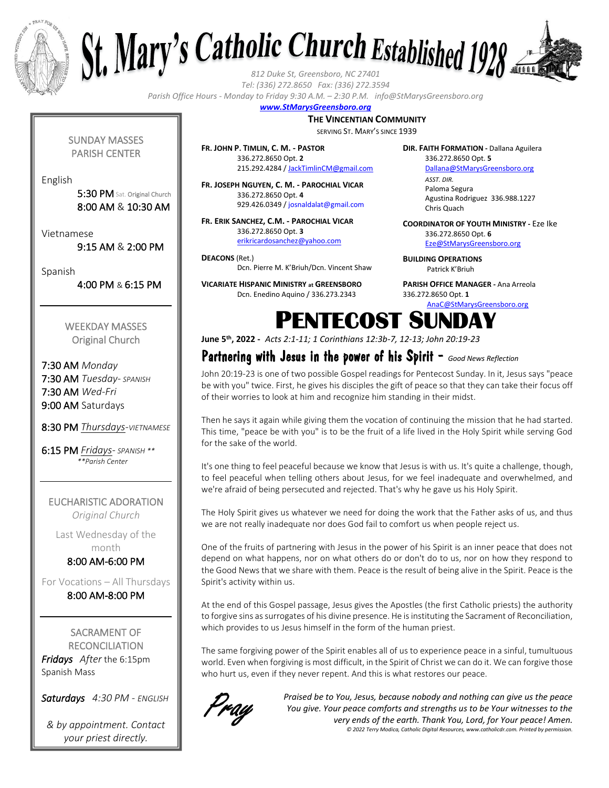

English

Vietnamese

Spanish



*Tel: (336) 272.8650 Fax: (336) 272.3594*

*Parish Office Hours - Monday to Friday 9:30 A.M. – 2:30 P.M. info@StMarysGreensboro.org*

#### *www.StMarysGreensboro.org*

#### **THE VINCENTIAN COMMUNITY**

SERVING ST. MARY'S SINCE 1939

**FR. JOHN P. TIMLIN, C. M. - PASTOR** 336.272.8650 Opt. **2** 215.292.4284 / JackTimlinCM@gmail.com

**FR. JOSEPH NGUYEN, C. M. - PAROCHIAL VICAR** 336.272.8650 Opt. **4** 929.426.0349 / josnaldalat@gmail.com

**FR. ERIK SANCHEZ, C.M. - PAROCHIAL VICAR** 336.272.8650 Opt. **3** erikricardosanchez@yahoo.com

**DEACONS** (Ret.) Dcn. Pierre M. K'Briuh/Dcn. Vincent Shaw

**VICARIATE HISPANIC MINISTRY at GREENSBORO** Dcn. Enedino Aquino / 336.273.2343

**DIR. FAITH FORMATION -** Dallana Aguilera 336.272.8650 Opt. **5**

Dallana@StMarysGreensboro.org *ASST. DIR.* Paloma Segura Agustina Rodriguez 336.988.1227 Chris Quach

**COORDINATOR OF YOUTH MINISTRY -** Eze Ike 336.272.8650 Opt. **6** Eze@StMarysGreensboro.org

**BUILDING OPERATIONS**  Patrick K'Briuh

**PARISH OFFICE MANAGER -** Ana Arreola 336.272.8650 Opt. **1**

AnaC@StMarysGreensboro.org

#### WEEKDAY MASSES Original Church

SUNDAY MASSES PARISH CENTER

> 5:30 PM Sat. Original Church 8:00 AM & 10:30 AM

9:15 AM & 2:00 PM

4:00 PM & 6:15 PM

7:30 AM *Monday* 7:30 AM *Tuesday- SPANISH* 7:30 AM *Wed-Fri* 9:00 AM Saturdays

8:30 PM *Thursdays-VIETNAMESE*

6:15 PM *Fridays- SPANISH \*\* \*\*Parish Center*

EUCHARISTIC ADORATION *Original Church*

Last Wednesday of the month 8:00 AM-6:00 PM

For Vocations – All Thursdays 8:00 AM-8:00 PM

SACRAMENT OF **RECONCILIATION** *Fridays After* the 6:15pm Spanish Mass

*Saturdays 4:30 PM - ENGLISH*

*& by appointment. Contact your priest directly.*

## PENTECOST SUNDAY **June 5th, 2022 -** *Acts 2:1-11; 1 Corinthians 12:3b-7, 12-13; John 20:19-23*

### Partnering with Jesus in the power of his Spirit - *Good News Reflection*

John 20:19-23 is one of two possible Gospel readings for Pentecost Sunday. In it, Jesus says "peace be with you" twice. First, he gives his disciples the gift of peace so that they can take their focus off of their worries to look at him and recognize him standing in their midst.

Then he says it again while giving them the vocation of continuing the mission that he had started. This time, "peace be with you" is to be the fruit of a life lived in the Holy Spirit while serving God for the sake of the world.

It's one thing to feel peaceful because we know that Jesus is with us. It's quite a challenge, though, to feel peaceful when telling others about Jesus, for we feel inadequate and overwhelmed, and we're afraid of being persecuted and rejected. That's why he gave us his Holy Spirit.

The Holy Spirit gives us whatever we need for doing the work that the Father asks of us, and thus we are not really inadequate nor does God fail to comfort us when people reject us.

One of the fruits of partnering with Jesus in the power of his Spirit is an inner peace that does not depend on what happens, nor on what others do or don't do to us, nor on how they respond to the Good News that we share with them. Peace is the result of being alive in the Spirit. Peace is the Spirit's activity within us.

At the end of this Gospel passage, Jesus gives the Apostles (the first Catholic priests) the authority to forgive sins as surrogates of his divine presence. He is instituting the Sacrament of Reconciliation, which provides to us Jesus himself in the form of the human priest.

The same forgiving power of the Spirit enables all of us to experience peace in a sinful, tumultuous world. Even when forgiving is most difficult, in the Spirit of Christ we can do it. We can forgive those who hurt us, even if they never repent. And this is what restores our peace.



*Praised be to You, Jesus, because nobody and nothing can give us the peace You give. Your peace comforts and strengths us to be Your witnesses to the very ends of the earth. Thank You, Lord, for Your peace! Amen. © 2022 Terry Modica, Catholic Digital Resources, www.catholicdr.com. Printed by permission.*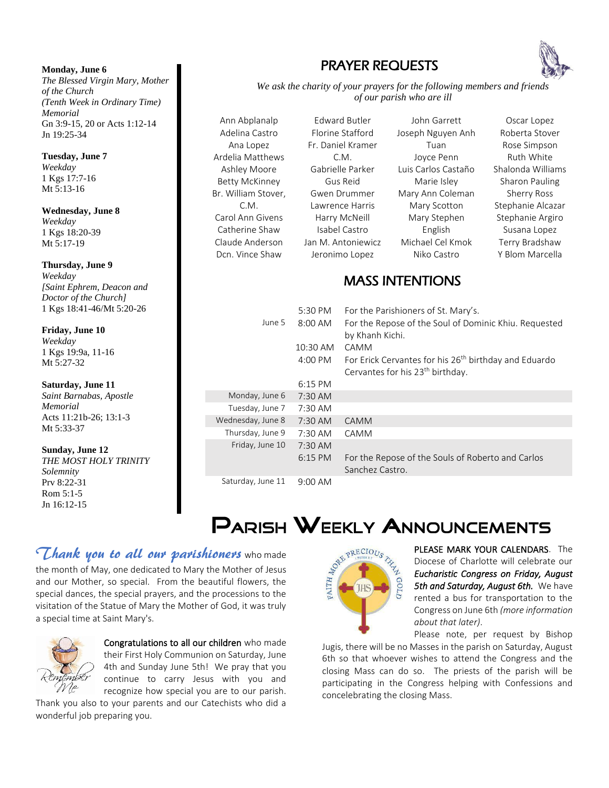#### **Monday, June 6** *The Blessed Virgin Mary, Mother of the Church (Tenth Week in Ordinary Time) Memorial*  Gn 3:9-15, 20 or Acts 1:12-14 Jn 19:25-34

**Tuesday, June 7** *Weekday* 1 Kgs 17:7-16 Mt 5:13-16

#### **Wednesday, June 8** *Weekday* 1 Kgs 18:20-39 Mt 5:17-19

**Thursday, June 9** *Weekday [Saint Ephrem, Deacon and Doctor of the Church]*  1 Kgs 18:41-46/Mt 5:20-26

#### **Friday, June 10** *Weekday* 1 Kgs 19:9a, 11-16

Mt 5:27-32

### **Saturday, June 11**

*Saint Barnabas, Apostle Memorial*  Acts 11:21b-26; 13:1-3 Mt 5:33-37

### **Sunday, June 12**

*THE MOST HOLY TRINITY Solemnity*  Prv 8:22-31 Rom 5:1-5 Jn 16:12-15

## PRAYER REQUESTS



*We ask the charity of your prayers for the following members and friends of our parish who are ill*

Ann Abplanalp Adelina Castro Ana Lopez Ardelia Matthews Ashley Moore Betty McKinney Br. William Stover, C.M. Carol Ann Givens Catherine Shaw Claude Anderson Dcn. Vince Shaw



John Garrett Joseph Nguyen Anh Tuan Joyce Penn Luis Carlos Castaño Marie Isley Mary Ann Coleman Mary Scotton Mary Stephen English Michael Cel Kmok Niko Castro

Oscar Lopez Roberta Stover Rose Simpson Ruth White Shalonda Williams Sharon Pauling Sherry Ross Stephanie Alcazar Stephanie Argiro Susana Lopez Terry Bradshaw Y Blom Marcella

## MASS INTENTIONS

| June 5            | 5:30 PM<br>$8:00$ AM | For the Parishioners of St. Mary's.<br>For the Repose of the Soul of Dominic Khiu. Requested<br>by Khanh Kichi.   |
|-------------------|----------------------|-------------------------------------------------------------------------------------------------------------------|
|                   | $10:30$ AM           | CAMM                                                                                                              |
|                   | $4:00 \text{ PM}$    | For Erick Cervantes for his 26 <sup>th</sup> birthday and Eduardo<br>Cervantes for his 23 <sup>th</sup> birthday. |
|                   | $6:15$ PM            |                                                                                                                   |
| Monday, June 6    | $7:30$ AM            |                                                                                                                   |
| Tuesday, June 7   | $7:30$ AM            |                                                                                                                   |
| Wednesday, June 8 | $7:30$ AM            | CAMM                                                                                                              |
| Thursday, June 9  | 7:30 AM              | CAMM                                                                                                              |
| Friday, June 10   | $7:30$ AM            |                                                                                                                   |
|                   | $6:15$ PM            | For the Repose of the Souls of Roberto and Carlos<br>Sanchez Castro.                                              |
| Saturday, June 11 | $9:00 \text{ AM}$    |                                                                                                                   |

# **PARISH WEEKLY ANNOUNCEMENTS**

## Thank you to all our parishioners who made

the month of May, one dedicated to Mary the Mother of Jesus and our Mother, so special. From the beautiful flowers, the special dances, the special prayers, and the processions to the visitation of the Statue of Mary the Mother of God, it was truly a special time at Saint Mary's.



Congratulations to all our children who made their First Holy Communion on Saturday, June 4th and Sunday June 5th! We pray that you continue to carry Jesus with you and recognize how special you are to our parish.

Thank you also to your parents and our Catechists who did a wonderful job preparing you.



PLEASE MARK YOUR CALENDARS. The Diocese of Charlotte will celebrate our *Eucharistic Congress on Friday, August 5th and Saturday, August 6th.* We have rented a bus for transportation to the Congress on June 6th *(more information about that later)*.

Please note, per request by Bishop Jugis, there will be no Masses in the parish on Saturday, August 6th so that whoever wishes to attend the Congress and the closing Mass can do so. The priests of the parish will be participating in the Congress helping with Confessions and concelebrating the closing Mass.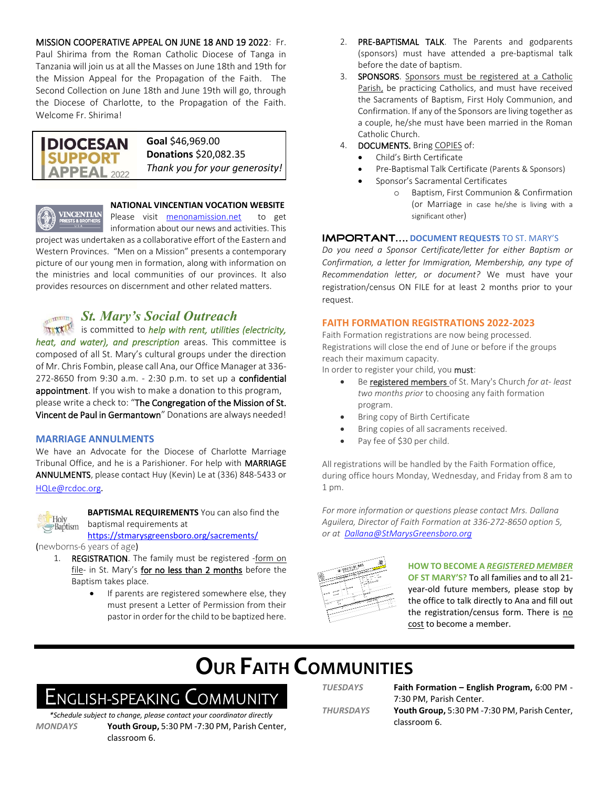MISSION COOPERATIVE APPEAL ON JUNE 18 AND 19 2022: Fr.

Paul Shirima from the Roman Catholic Diocese of Tanga in Tanzania will join us at all the Masses on June 18th and 19th for the Mission Appeal for the Propagation of the Faith. The Second Collection on June 18th and June 19th will go, through the Diocese of Charlotte, to the Propagation of the Faith. Welcome Fr. Shirima!

#### **Goal** \$46,969.00 **DIOCESAN Donations** \$20,082.35 **SUPPORT** *Thank you for your generosity!* **APPEAL** 2022



#### **NATIONAL VINCENTIAN VOCATION WEBSITE**

Please visit menonamission.net to get information about our news and activities. This

project was undertaken as a collaborative effort of the Eastern and Western Provinces. "Men on a Mission" presents a contemporary picture of our young men in formation, along with information on the ministries and local communities of our provinces. It also provides resources on discernment and other related matters.

### *St. Mary's Social Outreach*

**INCORE 12 IS COMMITTED TO** *help with rent, utilities (electricity, heat, and water), and prescription* areas. This committee is composed of all St. Mary's cultural groups under the direction of Mr. Chris Fombin, please call Ana, our Office Manager at 336- 272-8650 from 9:30 a.m. - 2:30 p.m. to set up a confidential appointment. If you wish to make a donation to this program, please write a check to: "The Congregation of the Mission of St. Vincent de Paul in Germantown" Donations are always needed!

#### **MARRIAGE ANNULMENTS**

We have an Advocate for the Diocese of Charlotte Marriage Tribunal Office, and he is a Parishioner. For help with MARRIAGE ANNULMENTS, please contact Huy (Kevin) Le at (336) 848-5433 or HQLe@rcdoc.org*.*



**BAPTISMAL REQUIREMENTS** You can also find the baptismal requirements at

https://stmarysgreensboro.org/sacrements/

(newborns-6 years of age)

- 1. REGISTRATION. The family must be registered -form on file- in St. Mary's for no less than 2 months before the Baptism takes place.
	- If parents are registered somewhere else, they must present a Letter of Permission from their pastor in order for the child to be baptized here.
- 2. PRE-BAPTISMAL TALK. The Parents and godparents (sponsors) must have attended a pre-baptismal talk before the date of baptism.
- 3. SPONSORS. Sponsors must be registered at a Catholic Parish, be practicing Catholics, and must have received the Sacraments of Baptism, First Holy Communion, and Confirmation. If any of the Sponsors are living together as a couple, he/she must have been married in the Roman Catholic Church.
- 4. **DOCUMENTS.** Bring COPIES of:
	- Child's Birth Certificate
	- Pre-Baptismal Talk Certificate (Parents & Sponsors)
	- Sponsor's Sacramental Certificates
		- o Baptism, First Communion & Confirmation (or Marriage in case he/she is living with a significant other)

#### **IMPORTANT.... DOCUMENT REQUESTS TO ST. MARY'S**

*Do you need a Sponsor Certificate/letter for either Baptism or Confirmation, a letter for Immigration, Membership, any type of Recommendation letter, or document?* We must have your registration/census ON FILE for at least 2 months prior to your request.

#### **FAITH FORMATION REGISTRATIONS 2022-2023**

Faith Formation registrations are now being processed. Registrations will close the end of June or before if the groups reach their maximum capacity.

In order to register your child, you must:

- Be registered members of St. Mary's Church *for at- least two months prior* to choosing any faith formation program.
- Bring copy of Birth Certificate
- Bring copies of all sacraments received.
- Pay fee of \$30 per child.

All registrations will be handled by the Faith Formation office, during office hours Monday, Wednesday, and Friday from 8 am to 1 pm.

*For more information or questions please contact Mrs. Dallana Aguilera, Director of Faith Formation at 336-272-8650 option 5, or at Dallana@StMarysGreensboro.org*



### **HOW TO BECOME A** *REGISTERED MEMBER* **OF ST MARY'S?** To all families and to all 21-

year-old future members, please stop by the office to talk directly to Ana and fill out the registration/census form. There is no cost to become a member.

# **OUR FAITH COMMUNITIES**

# ENGLISH-SPEAKING COMMUNITY

*\*Schedule subject to change, please contact your coordinator directly MONDAYS* **Youth Group,** 5:30 PM -7:30 PM, Parish Center, classroom 6.

*TUESDAYS* **Faith Formation – English Program,** 6:00 PM - 7:30 PM, Parish Center. *THURSDAYS* **Youth Group,** 5:30 PM -7:30 PM, Parish Center, classroom 6.